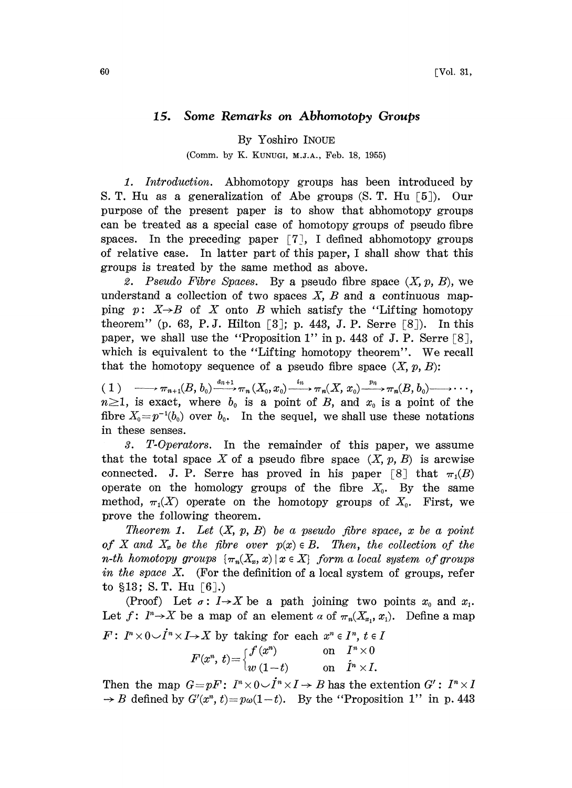## 15. Some Remarks on Abhomotopy Groups

By Yoshiro INOUE

(Comm. by K. KUNUGI, M.J.A., Feb. 18, 1955)

1. Introduction. Abhomotopy groups has been introduced by S. T. Hu as a generalization of Abe groups (S. T. Hu [5]), Our purpose of the present paper is to show that abhomotopy groups can be treated as a special case of homotopy groups of pseudo fibre spaces. In the preceding paper  $\lceil 7 \rceil$ , I defined abhomotopy groups of relative case. In latter part of this paper, ! shall show that this groups is treated by the same method as above.

2. Pseudo Fibre Spaces. By a pseudo fibre space  $(X, p, B)$ , we understand a collection of two spaces  $X$ ,  $B$  and a continuous mapping p:  $X\rightarrow B$  of X onto B which satisfy the "Lifting homotopy" theorem" (p. 63, P.J. Hilton  $\lceil 3 \rceil$ ; p. 443, J.P. Serre  $\lceil 8 \rceil$ ). In this paper, we shall use the "Proposition 1" in p. 443 of J. P. Serre  $[8]$ , which is equivalent to the "Lifting homotopy theorem". We recall that the homotopy sequence of a pseudo fibre space  $(X, p, B)$ :

that the nomotopy sequence of a pseudo fibre space  $(X, p, B)$ :<br>
(1)  $\longrightarrow \pi_{n+1}(B, b_0) \xrightarrow{a_{n+1}} \pi_n(X_0, x_0) \xrightarrow{i_n} \pi_n(X, x_0) \xrightarrow{p_n} \pi_n(B, b_0) \longrightarrow \cdots$  $n\geq 1$ , is exact, where  $b_0$  is a point of B, and  $x_0$  is a point of the fibre  $X_0=p^{-1}(b_0)$  over  $b_0$ . In the sequel, we shall use these notations in these senses.

3. T-Operators. In the remainder of this paper, we assume that the total space X of a pseudo fibre space  $(X, p, B)$  is arcwise connected. J. P. Serre has proved in his paper [8] that  $\pi_1(B)$ operate on the homology groups of the fibre  $X_0$ . By the same method,  $\pi_1(X)$  operate on the homotopy groups of  $X_0$ . First, we prove the following theorem.

Theorem 1. Let  $(X, p, B)$  be a pseudo fibre space, x be a point of X and  $X_x$  be the fibre over  $p(x) \in B$ . Then, the collection of the n-th homotopy groups  $\{\pi_n(X_x, x) \mid x \in X\}$  form a local system of groups in the space  $X$ . (For the definition of a local system of groups, refer to  $$13; S. T. Hu [6].$ 

(Proof) Let  $\sigma: I \rightarrow X$  be a path joining two points  $x_0$  and  $x_1$ . Let  $f: I^n \rightarrow X$  be a map of an element  $\alpha$  of  $\pi_n(X_x, x_i)$ . Define a map Let  $f: I^n \rightarrow X$  be a map of an element  $\alpha$  of  $\pi_n(X_{x_1}, x_1)$ <br>  $F: I^n \times 0 \cup I^n \times I \rightarrow X$  by taking for each  $x^n \in I^n$ ,  $t \in I$  $F(x^n,\,t)\!=\!\begin{cases} {f\left(x^n\right)}\quad\quad &\text{on}\quad I^n\times 0\ \,w\left(1\!-\!t\right)\quad\quad &\text{on}\quad \dot{I}^n\times I. \end{cases}$ 

Then the map  $G = pF: I^n \times 0 \cup I^n \times I \rightarrow B$  has the extention  $G': I^n \times I$  $\rightarrow B$  defined by  $G'(x^n, t) = p\omega(1-t)$ . By the "Proposition 1" in p. 443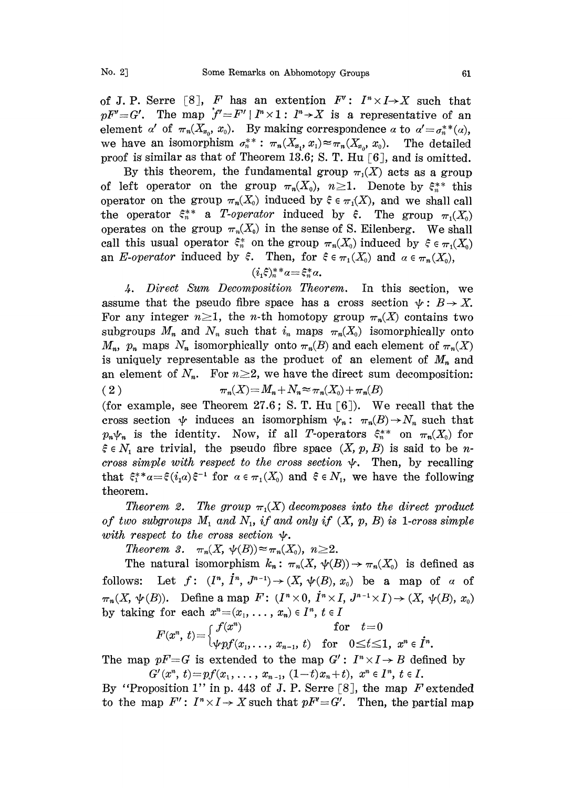of J. P. Serre [8], F has an extention  $F': I<sup>n</sup> \times I \rightarrow X$  such that  $pF'=G'$ . The map  $f'=F' | I^n \times 1 : I^n \rightarrow X$  is a representative of an element a' of  $\pi_n(X_{x_0}, x_0)$ . By making correspondence a to  $\alpha' = \sigma_n^{**}(\alpha)$ , we have an isomorphism  $\sigma_n^{**}$ :  $\pi_n(X_{x_1}, x_1) \approx \pi_n(X_{x_0}, x_0)$ . The detailed proof is similar as that of Theorem 13.6; S. T. Hu  $\lceil 6 \rceil$ , and is omitted.

By this theorem, the fundamental group  $\pi_1(X)$  acts as a group of left operator on the group  $\pi_n(X_0)$ ,  $n \geq 1$ . Denote by  $\xi_n^{**}$  this operator on the group  $\pi_n(X_0)$  induced by  $\xi \in \pi_1(X)$ , and we shall call the operator  $\xi_n^{**}$  a T-operator induced by  $\xi$ . The group  $\pi_1(X_0)$ operates on the group  $\pi_n(X_0)$  in the sense of S. Eilenberg. We shall call this usual operator  $\xi_n^*$  on the group  $\pi_n(X_0)$  induced by  $\xi \in \pi_1(X_0)$ an E-operator induced by  $\xi$ . Then, for  $\xi \in \pi_1(X_0)$  and  $\alpha \in \pi_n(X_0)$ ,

$$
(i_1\xi)_n^{**}a = \xi_n^*a.
$$

4. Direct Sum Decomposition Theorem. In this section, we assume that the pseudo fibre space has a cross section  $\psi : B \to X$ . For any integer  $n\geq 1$ , the *n*-th homotopy group  $\pi_n(X)$  contains two subgroups  $M_n$  and  $N_n$  such that  $i_n$  maps  $\pi_n(X_0)$  isomorphically onto  $M_n$ ,  $p_n$  maps  $N_n$  isomorphically onto  $\pi_n(B)$  and each element of  $\pi_n(X)$ is uniquely representable as the product of an element of  $M_n$  and an element of  $N_n$ . For  $n \geq 2$ , we have the direct sum decomposition: ( 2 )  $\pi_n(X) = M_n + N_n \approx \pi_n(X_0) + \pi_n(B)$ (for example, see Theorem 27.6; S. T. Hu  $\lceil 6 \rceil$ ). We recall that the

cross section  $\psi$  induces an isomorphism  $\psi_n: \pi_n(B) \to N_n$  such that  $p_n\psi_n$  is the identity. Now, if all T-operators  $\xi_n^{**}$  on  $\pi_n(X_0)$  for  $\xi \in N_1$  are trivial, the pseudo fibre space  $(X, p, B)$  is said to be ncross simple with respect to the cross section  $\psi$ . Then, by recalling that  $\xi_1^* * a = \xi(i_1 a) \xi^{-1}$  for  $a \in \pi_1(X_0)$  and  $\xi \in N_1$ , we have the following theorem. theorem.

Theorem 2. The group  $\pi_1(X)$  decomposes into the direct product of two subgroups  $M_1$  and  $N_1$ , if and only if  $(X, p, B)$  is 1-cross simple with respect to the cross section  $\psi$ .

Theorem 3.  $\pi_n(X, \psi(B)) \approx \pi_n(X_0), n \geq 2$ .

The natural isomorphism  $k_n: \pi_n(X, \psi(B)) \to \pi_n(X_0)$  is defined as follows: Let  $f: (I^n, I^n, J^{n-1}) \rightarrow (X, \psi(B), x_0)$  be a map of a of  $\pi_n(X, \psi(B))$ . Define a map  $F: (I^n \times 0, I^n \times I)$ <br>by taking for each  $x^n = (x_1, \ldots, x_n) \in I^n$ ,  $t \in I$  $\times I, J^{n-1} \times I) \rightarrow (X, \psi(B), x_0)$ <br> $\in I$ 

 $F(x^n,\ t)\!=\!\left\{\begin{matrix} f(x^n) & \text{for} \quad t\!=\!0 \ \text{\#pf}(x_1,\ldots,\ x_{n-1},\ t) & \text{for} \quad 0\!\leq\! t\!\leq\! 1,\ x^n\!\in\!\dot{I}^n. \end{matrix}\right.$ 

The map  $pF=G$  is extended to the map  $G': I^n \times I \rightarrow B$  defined by  $G'(x^n, t) = pf(x_1, \ldots, x_{n-1}, (1-t)x_n+t), x^n \in I^n, t \in I.$ 

By "Proposition 1" in p. 443 of J. P. Serre [8], the map  $F$  extended to the map  $F' : I^n \times I \to X$  such that  $pF' = G'$ . Then, the partial map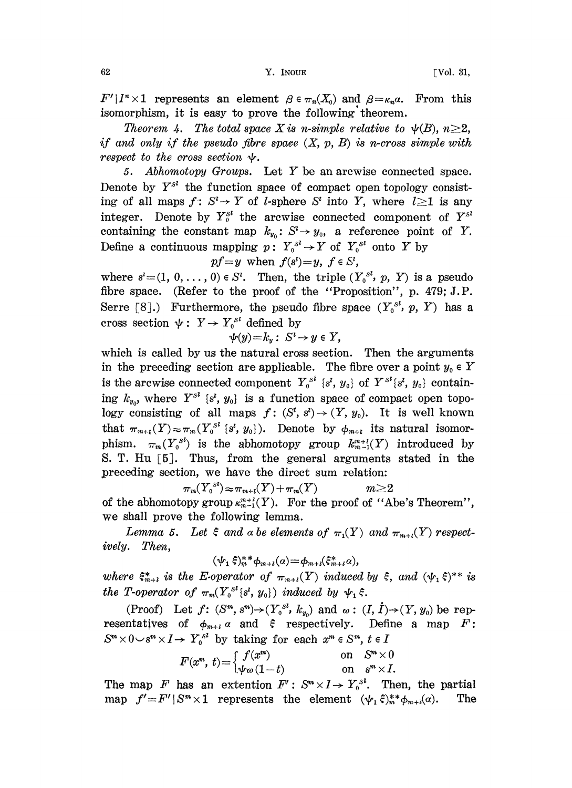$F'|I^n\times 1$  represents an element  $\beta \in \pi_n(X_0)$  and  $\beta = \kappa_n a$ . From this isomorphism, it is easy to prove the following theorem.

Theorem 4. The total space X is n-simple relative to  $\psi(B)$ ,  $n\geq 2$ , if and only if the pseudo fibre space  $(X, p, B)$  is n-cross simple with  $r$ espect to the cross section  $\psi$ .

5. Abhomotopy Groups. Let Y be an arcwise connected space. Denote by  $Y^{S^1}$  the function space of compact open topology consisting of all maps  $f: S^l \to Y$  of *l*-sphere  $S^l$  into Y, where  $l \geq 1$  is any integer. Denote by  $Y_0^{sl}$  the arcwise connected component of  $Y_s^{sl}$ containing the constant map  $k_{y_0}: S^t \to y_0$ , a reference point of Y. Define a continuous mapping  $p: Y_0^{s^l} \to Y$  of  $Y_0^{s^l}$  onto Y by

 $pf=y$  when  $f(s')=y, f \in S'$ ,

where  $s'=(1, 0, \ldots, 0) \in S<sup>i</sup>$ . Then, the triple  $(Y_0^{s_i}, p, Y)$  is a pseudo fibre space. (Refer to the proof of the "Proposition", p. 479; J.P. Serre [8].) Furthermore, the pseudo fibre space  $(Y_0^{S^l}, p, Y)$  has a cross section  $\psi: Y \to Y_0^{s}$  defined by  $\psi(y)=k_y: S^1$ .

$$
\nu(y)=k_y:\ S^i\to y\in Y,
$$

which is called by us the natural cross section. Then the arguments in the preceding section are applicable. The fibre over a point  $y_0 \in Y$ is the arcwise connected component  $Y_0^{s i}$   $s'$ ,  $y_0$ } of  $Y^{s i}$  $s'$ ,  $y_0$ } containing  $k_{y_0}$ , where  $Y^{S^1}$   $\{s^i, y_0\}$  is a function space of compact open topology consisting of all maps  $f: (S^t, s^t) \to (Y, y_0)$ . It is well known that  $\pi_{m+i}(Y) \approx \pi_m(Y_0^{s} \{s', y_0\})$ . Denote by  $\phi_{m+i}$  its natural isomorphism.  $\pi_m(Y_0^{s})$  is the abhomotopy group  $k_{m-1}^{m+l}(Y)$  introduced by S. T. Hu  $\lceil 5 \rceil$ . Thus, from the general arguments stated in the preceding section, we have the direct sum relation:

$$
\pi_m(Y_\text{o}^{s}) \approx \pi_{m+t}(Y) + \pi_m(Y) \qquad m \ge 2
$$

of the abhomotopy group  $\kappa_{m-1}^{m+l}(Y)$ . For the proof of "Abe's Theorem", we shall prove the following lemma.

Lemma 5. Let  $\xi$  and a be elements of  $\pi_1(Y)$  and  $\pi_{m+l}(Y)$  respectively. Then,

$$
(\psi_1\,\hat{\xi})_m^* \phi_{m+l}(a) = \phi_{m+l}(\hat{\xi}_{m+l}^*a),
$$

where  $\xi_{m+1}^*$  is the E-operator of  $\pi_{m+l}(Y)$  induced by  $\xi$ , and  $(\psi_1 \xi)^{**}$  is the T-operator of  $\pi_m(Y_0^{s^l} \{s^l, y_0\})$  induced by  $\psi_1 \xi$ .

(Proof) Let  $f: (S^m, s^m) \rightarrow (Y_0^{s_l}, k_{y_0})$  and  $\omega: (I, I) \rightarrow (Y, y_0)$  be rep-<br>ntatives of  $\phi_{m+l} \alpha$  and  $\xi$  respectively. Define a map  $F:$ <br> $0 \rightarrow s^m \times I \rightarrow Y^{s_l}$  by taking for each  $x^m \in S^m$   $t \in I$ resentatives of  $\phi_{m+l}$  a and  $\xi$  respectively. Define a map  $F$ :  $S^m \times 0 \rightarrow S^m \times I \rightarrow Y_0^{S^I}$  by taking for each  $x^m \in S^m$ ,  $t \in I$ 

$$
F(x^m, t) = \begin{cases} f(x^m) & \text{on} \quad S^m \times 0 \\ \psi \omega (1-t) & \text{on} \quad s^m \times I. \end{cases}
$$

The map F has an extention  $F': S^m \times I \to Y_0^{s'}$ . Then, the partial map  $f' = F' | S^m \times 1$  represents the element  $(\psi_1, \xi)_*^{s*} \phi_{m+1}(\alpha)$ . The map  $f'=F'|S^m\times 1$  represents the element  $(\psi_1 \xi)_m^{**}\phi_{m+i}(\alpha)$ .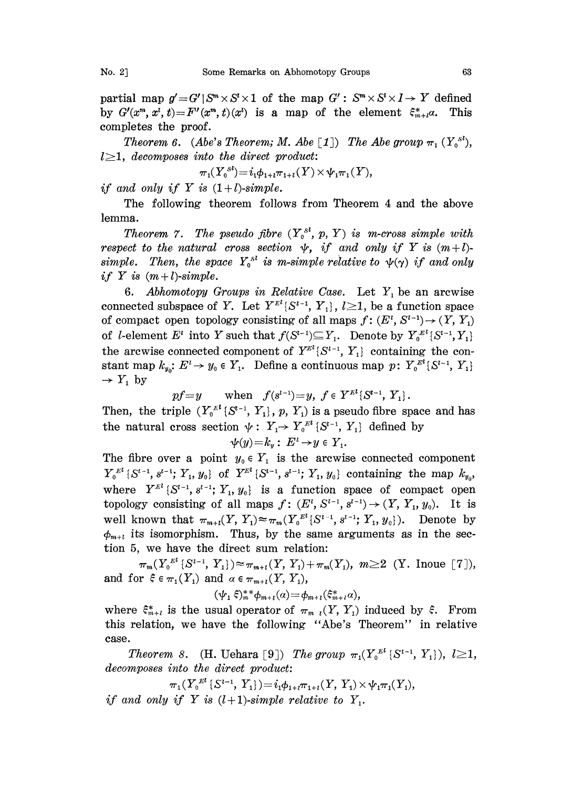partial map  $g' = G' | S^m \times S^l \times 1$  of the map  $G' : S^m \times S^l \times I \to Y$  defined by  $G'(x^m, x^i, t) = F'(x^m, t)(x^i)$  is a map of the element  $\xi_{m+i}^* a$ . This completes the proof.

Theorem 6. (Abe's Theorem; M. Abe [1]) The Abe group  $\pi_1(Y_0^{s})$ ,  $l\geq 1$ , decomposes into the direct product:

$$
\pi_1(Y_0^{s})=i_1\phi_{1+t}\pi_{1+t}(Y)\times \psi_1\pi_1(Y),
$$

if and only if Y is  $(1+l)$ -simple.

The following theorem follows from Theorem 4 and the above lemma.

Theorem 7. The pseudo fibre  $(Y_0^{s^l}, p, Y)$  is m-cross simple with respect to the natural cross section  $\psi$ , if and only if Y is  $(m+l)$ simple. Then, the space  $Y_0^{s}$  is m-simple relative to  $\psi(\gamma)$  if and only if Y is  $(m+l)$ -simple.

6. Abhomotopy Groups in Relative Case. Let  $Y_i$  be an arcwise connected subspace of Y. Let  $Y^{\mathbb{F}^l}{S^{l-1}, Y_1}, l \geq 1$ , be a function space of compact open topology consisting of all maps  $f: (E^i, S^{i-1}) \rightarrow (Y, Y_1)$ of *l*-element  $E^i$  into Y such that  $f(S^{i-1}) \subseteq Y_1$ . Denote by  $Y_0^{E^i} \{S^{i-1}, Y_1\}$ the arcwise connected component of  $Y^{E^l} \{S^{l-1}, Y_1\}$  containing the con-<br>stant map  $k_{y_0}: E^l \rightarrow y_0 \in Y_1$ . Define a continuous map  $p: Y_0^{E^l} \{S^{l-1}, Y_1\}$ stant map  $k_{y_0}$ :  $E^i \rightarrow y_0 \in Y_1$ . Define a continuous map  $p: Y_0^{E^l} \{S^{l-1}, Y_1\}$ <br> $\rightarrow Y_1$  by

$$
pf = y \qquad \text{when} \quad f(s^{l-1}) = y, \ f \in Y^{\mathbb{R}^l} \{S^{l-1}, \ Y_1\}.
$$

Then, the triple  $(Y_0^{\mu} \{S^{t-1}, Y_1\}, p, Y_1)$  is a pseudo fibre space and has Then, the triple  $(Y_0^{\mathbb{Z}^l} \{S^{i-1}, Y_1\}, p, Y_1)$  is a pseudo fibre space<br>the natural cross section  $\psi: Y_1 \rightarrow Y_0^{\mathbb{Z}^l} \{S^{i-1}, Y_1\}$  defined by<br> $\psi(y)=k_y: E^i \rightarrow y \in Y_1$ .

$$
\psi(y)=k_y:\ E^i\to y\in Y_1.
$$

The fibre over a point  $y_0 \in Y_1$  is the arcwise connected component  $Y_0^{E^l} \{S^{l-1}, s^{l-1}; Y_1, y_0\}$  of  $Y^{E^l} \{S^{l-1}, s^{l-1}; Y_1, y_0\}$  containing the map  $k_{y_0}$ , where  $Y^{\mathbb{Z}^l} \{S^{l-1}, s^{l-1}; Y_1, y_0\}$  is a function space of compact open topology consisting of all maps  $f: (E^l, S^{l-1}, s^{l-1}) \rightarrow (Y, Y_1, y_0)$ . It is well known that  $\pi_{m+t}(Y, Y_1) \approx \pi_m(Y_0^{E^l} \{S^{i-1}, s^{i-1}; Y_1, y_0\})$ . Denote by  $\phi_{m+t}$  its isomorphism. Thus, by the same arguments as in the sec-<br>tion 5 we have the direct sum relation: tion 5, we have the direct sum relation:

 $\pi_m(Y_0^{E^l} \{S^{l-1}, Y_1\}) \approx \pi_{m+l}(Y, Y_1)+\pi_m(Y_1), m\geq 2$  (Y. Inoue [7]), and for  $\xi \in \pi_1(Y_1)$  and  $\alpha \in \pi_{m+i}(Y, Y_1)$ ,

 $(\psi_1 \xi)_m^{**} \phi_{m+l}(\alpha) = \phi_{m+l}(\xi_{m+l}^* \alpha),$ 

where  $\xi_{m+l}^*$  is the usual operator of  $\pi_{m-l}(Y, Y_1)$  induced by  $\xi$ . From this relation, we have the following "Abe's Theorem" in relative case.

Theorem 8. (H. Uehara [9]) The group  $\pi_1(Y_0^{E} \{S^{t-1}, Y_1\}), l \geq 1$ , decomposes into the direct product:

 $\pi_1(Y_0^{El} \{S^{l-1}, Y_1\}) = i_1 \phi_{1+l} \pi_{1+l}(Y, Y_1) \times \psi_1 \pi_1(Y_1),$ if and only if Y is  $(l+1)$ -simple relative to Y<sub>1</sub>.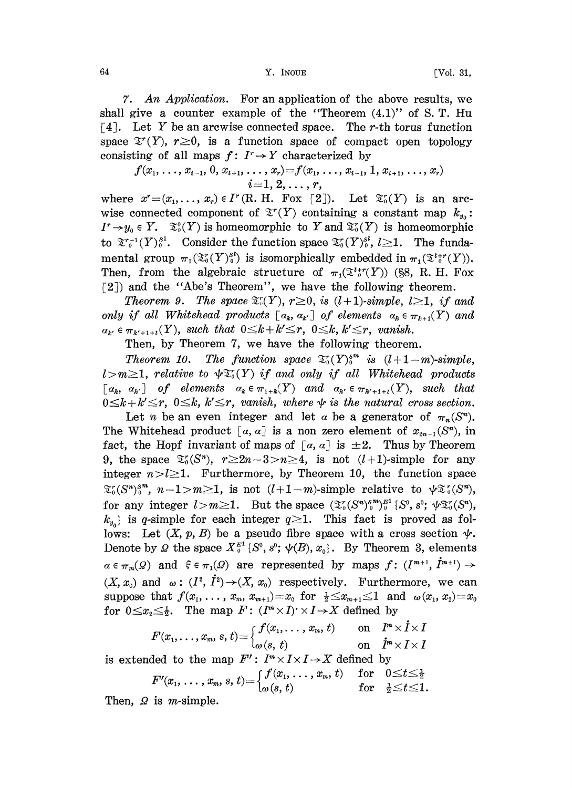64 Y. INOUE [\_Vol. 31,

7. An Application. For an application of the above results, we shall give a counter example of the "Theorem  $(4.1)$ " of S. T. Hu  $\lceil 4 \rceil$ . Let Y be an arcwise connected space. The r-th torus function space  $\mathfrak{T}^r(Y)$ ,  $r\geq0$ , is a function space of compact open topology consisting of all maps  $f: I^r \rightarrow Y$  characterized by

$$
f(x_1, \ldots, x_{i-1}, 0, x_{i+1}, \ldots, x_r) = f(x_1, \ldots, x_{i-1}, 1, x_{i+1}, \ldots, x_r)
$$
  
 $i = 1, 2, \ldots, r,$ 

where  $x^*=(x_1,\ldots,x_r)\in I^r(R, H. For [2]).$  Let  $\mathfrak{X}_0^r(Y)$  is an arcwise connected component of  $\mathfrak{T}'(Y)$  containing a constant map  $k_{y_0}$ :  $I^r \to y_0 \in Y$ .  $\mathfrak{S}_0^0(Y)$  is homeomorphic to Y and  $\mathfrak{S}_0^r(Y)$  is homeomorphic to  $\mathfrak{X}^{r-1}(Y)^{s^1}$ . Consider the function space  $\mathfrak{X}^r_0(Y)^{s^1}$ ,  $l \geq 1$ . The fundamental group  $\pi_1(\mathfrak{T}_0^r(Y)^{sl}_0)$  is isomorphically embedded in  $\pi_1(\mathfrak{T}_0^{l+r}(Y)).$ Then, from the algebraic structure of  $\pi_1(\mathfrak{T}^{t,r}(Y))$  (§8, R. H. Fox [2]) and the "Abe's Theorem", we have the following theorem.

Theorem 9. The space  $\mathfrak{T}^r_{\alpha}(Y)$ ,  $r \geq 0$ , is  $(l+1)$ -simple,  $l \geq 1$ , if and only if all Whitehead products  $[a_k, a_{k'}]$  of elements  $a_k \in \pi_{k+1}(Y)$  and  $a_{k'} \in \pi_{k'+1+l}(Y)$ , such that  $0 \leq k + k' \leq r$ ,  $0 \leq k$ ,  $k' \leq r$ , vanish.

Then, by Theorem 7, we have the following theorem.

Theorem 10. The function space  $\mathfrak{T}_0(Y)_0^{sm}$  is  $(l+1-m)$ -simple,  $l>m\geq 1$ , relative to  $\psi \mathfrak{T}_{0}(Y)$  if and only if all Whitehead products  $[a_k, a_{k'}]$  of elements  $a_k \in \pi_{1+k}(Y)$  and  $a_{k'} \in \pi_{k'+1+t}(Y)$ , such that  $0 \leq k + k' \leq r$ ,  $0 \leq k$ ,  $k' \leq r$ , vanish, where  $\psi$  is the natural cross section.

Let *n* be an even integer and let *a* be a generator of  $\pi_n(S^n)$ . The Whitehead product [a, a] is a non zero element of  $x_{2n-1}(S<sup>n</sup>)$ , in fact, the Hopf invariant of maps of  $[a, a]$  is  $\pm 2$ . Thus by Theorem 9, the space  $\mathfrak{T}_{0}^{r}(S^{n}), r \geq 2n-3>n \geq 4$ , is not  $(l+1)$ -simple for any integer  $n > l \geq 1$ . Furthermore, by Theorem 10, the function space  $\mathfrak{T}_{0}^{r}(S^{n})_{0}^{s^{m}}, n-1>m\geq1$ , is not  $(l+1-m)$ -simple relative to  $\psi\mathfrak{T}_{0}^{r}(S^{n}),$ for any integer  $l>m\geq 1$ . But the space  $(\mathfrak{T}^r_0(S^n)^{sm}_0)^{E^1}_0(S^0, s^0; \psi \mathfrak{T}^r_0(S^n))$ ,  $k_{y_0}$  is q-simple for each integer  $q \ge 1$ . This fact is proved as follows: Let  $(X, p, B)$  be a pseudo fibre space with a cross section  $\psi$ . Denote by  $\mathcal{Q}$  the space  $X_0^{\mathcal{E}^1}$   $\{S^0, s^0; \psi(B), x_0\}$ . By Theorem 3, elements  $\alpha \in \pi_m(Q)$  and  $\xi \in \pi_1(\Omega)$  are represented by maps  $f: (I^{m+1}, I^{m+1}) \to$  $(X, x_0)$  and  $\omega: (I^2, I^2) \rightarrow (X, x_0)$  respectively. Furthermore, we can<br>suppose that  $f(x_1, \ldots, x_n, x_0) = x_0$  for  $1 \le x_1 \le 1$  and  $\omega(x_1, x_0) = x_0$ suppose that  $f(x_1,\ldots,x_m,x_{m+1})=x_0$  for  $\frac{1}{2}\leq x_{m+1}\leq 1$  and  $\omega(x_1,x_2)=x_0$ for  $0 \leq x_2 \leq \frac{1}{2}$ . The map  $F: (I^m \times I) \times I \rightarrow X$  defined by

$$
F(x_1, \ldots, x_m, s, t) = \begin{cases} f(x_1, \ldots, x_m, t) & \text{on } I^m \times I \times I \\ \omega(s, t) & \text{on } I^m \times I \times I \end{cases}
$$

is extended to the map  $F': I^m \times I \times I \rightarrow X$  defined by

$$
F'(x_1,\,\ldots,\,x_m,\,s,\,t)\hspace{-1mm}=\hspace{-1mm}\begin{cases}f(x_1,\,\ldots,\,x_m,\,t) & \text{ for} \quad 0\hspace{-2mm}\leq \hspace{-2mm} t\hspace{-2mm}\leq \hspace{-2mm} \frac{1}{2} \\ \omega(s,\,t) & \text{ for} \quad \frac{1}{2}\hspace{-2mm}\leq \hspace{-2mm} t\hspace{-2mm}\leq \hspace{-2mm} 1.\end{cases}
$$

Then,  $\Omega$  is *m*-simple.